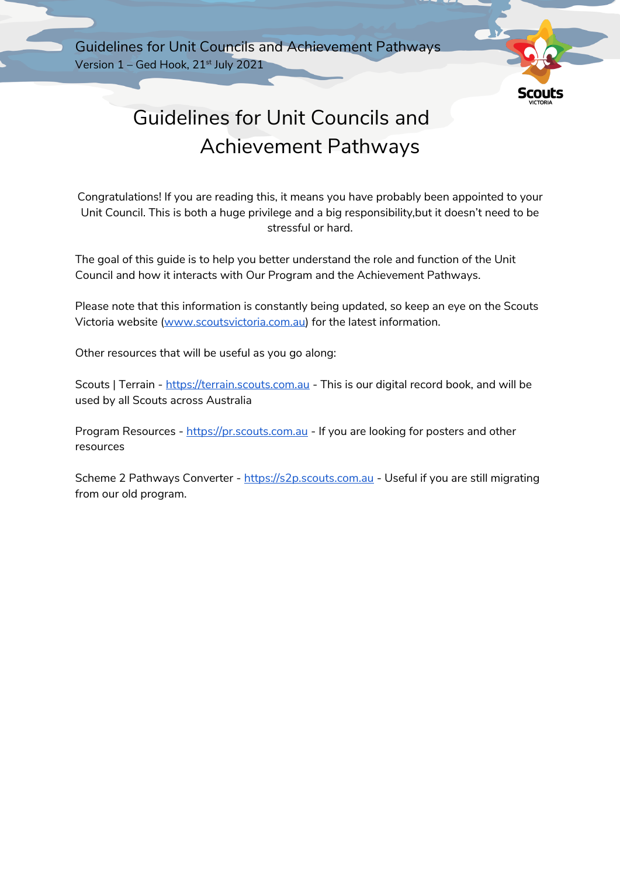Guidelines for Unit Councils and Achievement Pathways Version 1 – Ged Hook, 21<sup>st</sup> July 2021



# Guidelines for Unit Councils and Achievement Pathways

Congratulations! If you are reading this, it means you have probably been appointed to your Unit Council. This is both a huge privilege and a big responsibility,but it doesn't need to be stressful or hard.

The goal of this guide is to help you better understand the role and function of the Unit Council and how it interacts with Our Program and the Achievement Pathways.

Please note that this information is constantly being updated, so keep an eye on the Scouts Victoria website (www.scoutsvictoria.com.au) for the latest information.

Other resources that will be useful as you go along:

Scouts | Terrain - https://terrain.scouts.com.au - This is our digital record book, and will be used by all Scouts across Australia

Program Resources - https://pr.scouts.com.au - If you are looking for posters and other resources

Scheme 2 Pathways Converter - https://s2p.scouts.com.au - Useful if you are still migrating from our old program.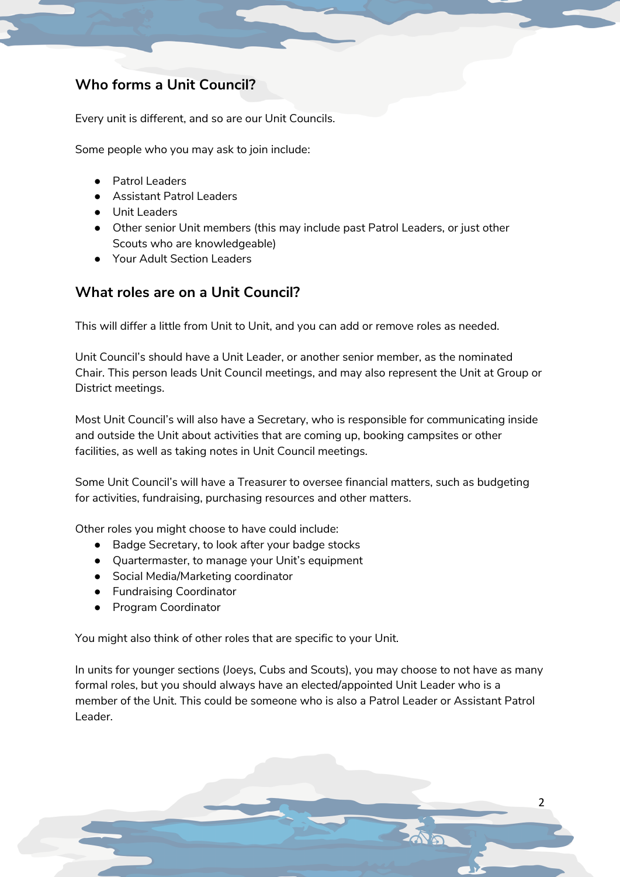### **Who forms a Unit Council?**

Every unit is different, and so are our Unit Councils.

Some people who you may ask to join include:

- Patrol Leaders
- Assistant Patrol Leaders
- Unit Leaders
- Other senior Unit members (this may include past Patrol Leaders, or just other Scouts who are knowledgeable)
- Your Adult Section Leaders

### **What roles are on a Unit Council?**

This will differ a little from Unit to Unit, and you can add or remove roles as needed.

Unit Council's should have a Unit Leader, or another senior member, as the nominated Chair. This person leads Unit Council meetings, and may also represent the Unit at Group or District meetings.

Most Unit Council's will also have a Secretary, who is responsible for communicating inside and outside the Unit about activities that are coming up, booking campsites or other facilities, as well as taking notes in Unit Council meetings.

Some Unit Council's will have a Treasurer to oversee financial matters, such as budgeting for activities, fundraising, purchasing resources and other matters.

Other roles you might choose to have could include:

- Badge Secretary, to look after your badge stocks
- Quartermaster, to manage your Unit's equipment
- Social Media/Marketing coordinator
- Fundraising Coordinator
- Program Coordinator

You might also think of other roles that are specific to your Unit.

In units for younger sections (Joeys, Cubs and Scouts), you may choose to not have as many formal roles, but you should always have an elected/appointed Unit Leader who is a member of the Unit. This could be someone who is also a Patrol Leader or Assistant Patrol Leader.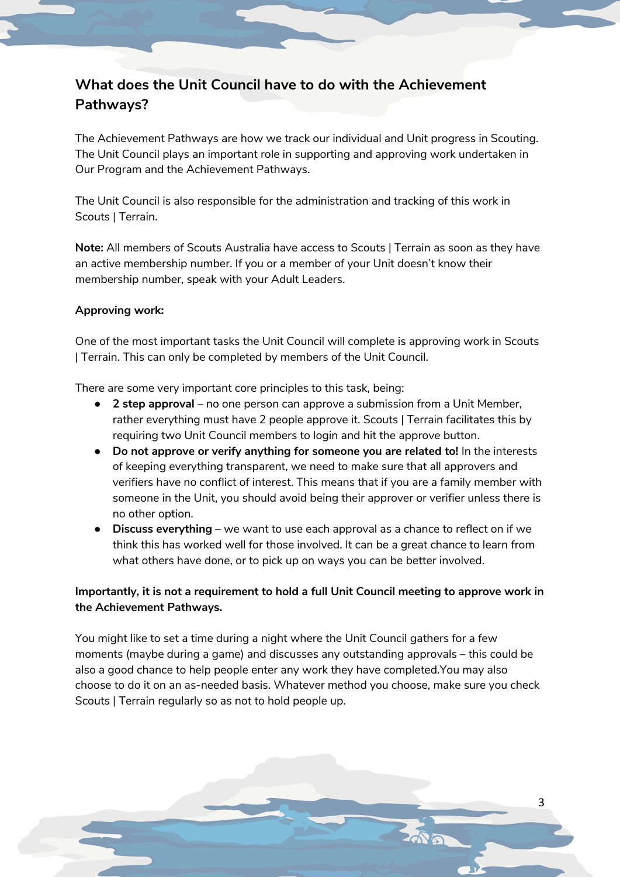# **What does the Unit Council have to do with the Achievement Pathways?**

The Achievement Pathways are how we track our individual and Unit progress in Scouting. The Unit Council plays an important role in supporting and approving work undertaken in Our Program and the Achievement Pathways.

The Unit Council is also responsible for the administration and tracking of this work in Scouts | Terrain.

**Note:** All members of Scouts Australia have access to Scouts | Terrain as soon as they have an active membership number. If you or a member of your Unit doesn't know their membership number, speak with your Adult Leaders.

### **Approving work:**

One of the most important tasks the Unit Council will complete is approving work in Scouts | Terrain. This can only be completed by members of the Unit Council.

There are some very important core principles to this task, being:

- **2 step approval** no one person can approve a submission from a Unit Member, rather everything must have 2 people approve it. Scouts | Terrain facilitates this by requiring two Unit Council members to login and hit the approve button.
- **Do not approve or verify anything for someone you are related to!** In the interests of keeping everything transparent, we need to make sure that all approvers and verifiers have no conflict of interest. This means that if you are a family member with someone in the Unit, you should avoid being their approver or verifier unless there is no other option.
- **Discuss everything** we want to use each approval as a chance to reflect on if we think this has worked well for those involved. It can be a great chance to learn from what others have done, or to pick up on ways you can be better involved.

### **Importantly, it is not a requirement to hold a full Unit Council meeting to approve work in the Achievement Pathways.**

You might like to set a time during a night where the Unit Council gathers for a few moments (maybe during a game) and discusses any outstanding approvals – this could be also a good chance to help people enter any work they have completed.You may also choose to do it on an as-needed basis. Whatever method you choose, make sure you check Scouts | Terrain regularly so as not to hold people up.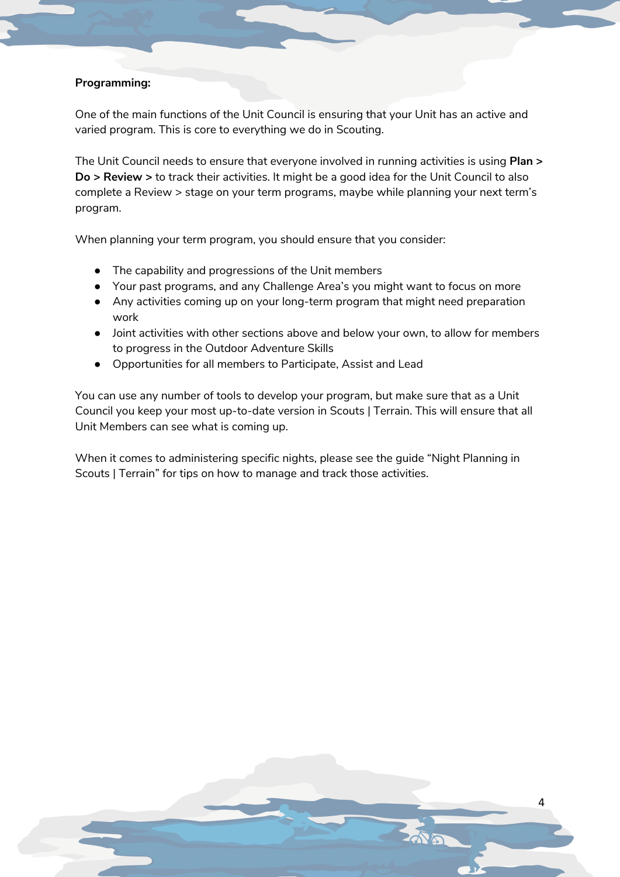### **Programming:**

One of the main functions of the Unit Council is ensuring that your Unit has an active and varied program. This is core to everything we do in Scouting.

The Unit Council needs to ensure that everyone involved in running activities is using **Plan > Do > Review >** to track their activities. It might be a good idea for the Unit Council to also complete a Review > stage on your term programs, maybe while planning your next term's program.

When planning your term program, you should ensure that you consider:

- The capability and progressions of the Unit members
- Your past programs, and any Challenge Area's you might want to focus on more
- Any activities coming up on your long-term program that might need preparation work
- Joint activities with other sections above and below your own, to allow for members to progress in the Outdoor Adventure Skills
- Opportunities for all members to Participate, Assist and Lead

You can use any number of tools to develop your program, but make sure that as a Unit Council you keep your most up-to-date version in Scouts | Terrain. This will ensure that all Unit Members can see what is coming up.

When it comes to administering specific nights, please see the guide "Night Planning in Scouts | Terrain" for tips on how to manage and track those activities.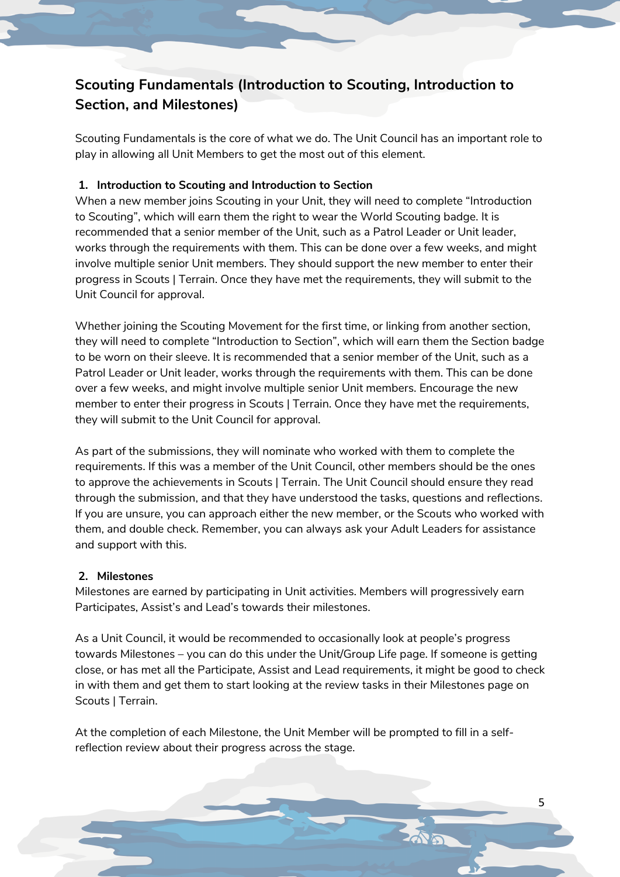# **Scouting Fundamentals (Introduction to Scouting, Introduction to Section, and Milestones)**

Scouting Fundamentals is the core of what we do. The Unit Council has an important role to play in allowing all Unit Members to get the most out of this element.

### **1. Introduction to Scouting and Introduction to Section**

When a new member joins Scouting in your Unit, they will need to complete "Introduction to Scouting", which will earn them the right to wear the World Scouting badge. It is recommended that a senior member of the Unit, such as a Patrol Leader or Unit leader, works through the requirements with them. This can be done over a few weeks, and might involve multiple senior Unit members. They should support the new member to enter their progress in Scouts | Terrain. Once they have met the requirements, they will submit to the Unit Council for approval.

Whether joining the Scouting Movement for the first time, or linking from another section, they will need to complete "Introduction to Section", which will earn them the Section badge to be worn on their sleeve. It is recommended that a senior member of the Unit, such as a Patrol Leader or Unit leader, works through the requirements with them. This can be done over a few weeks, and might involve multiple senior Unit members. Encourage the new member to enter their progress in Scouts | Terrain. Once they have met the requirements, they will submit to the Unit Council for approval.

As part of the submissions, they will nominate who worked with them to complete the requirements. If this was a member of the Unit Council, other members should be the ones to approve the achievements in Scouts | Terrain. The Unit Council should ensure they read through the submission, and that they have understood the tasks, questions and reflections. If you are unsure, you can approach either the new member, or the Scouts who worked with them, and double check. Remember, you can always ask your Adult Leaders for assistance and support with this.

### **2. Milestones**

Milestones are earned by participating in Unit activities. Members will progressively earn Participates, Assist's and Lead's towards their milestones.

As a Unit Council, it would be recommended to occasionally look at people's progress towards Milestones – you can do this under the Unit/Group Life page. If someone is getting close, or has met all the Participate, Assist and Lead requirements, it might be good to check in with them and get them to start looking at the review tasks in their Milestones page on Scouts | Terrain.

At the completion of each Milestone, the Unit Member will be prompted to fill in a selfreflection review about their progress across the stage.

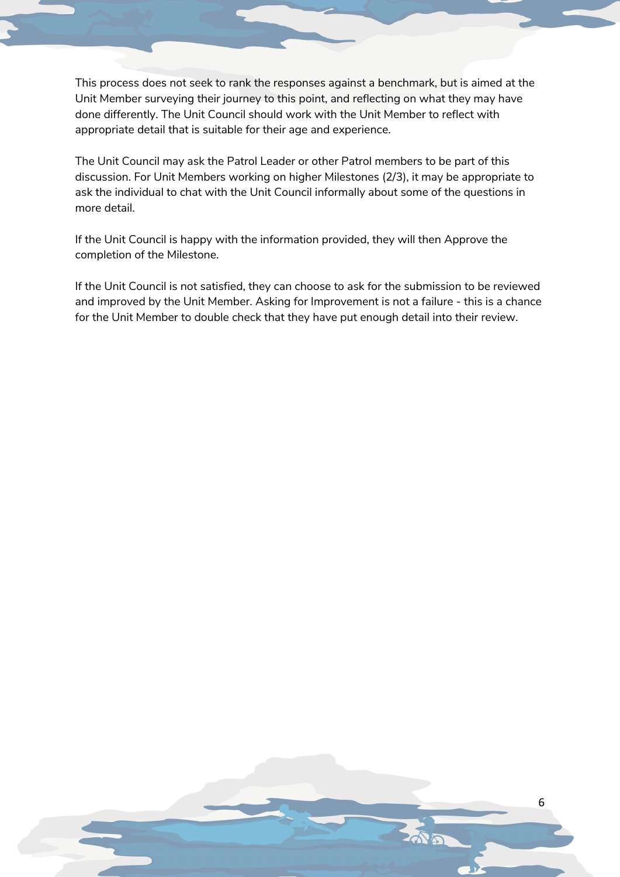This process does not seek to rank the responses against a benchmark, but is aimed at the Unit Member surveying their journey to this point, and reflecting on what they may have done differently. The Unit Council should work with the Unit Member to reflect with appropriate detail that is suitable for their age and experience.

The Unit Council may ask the Patrol Leader or other Patrol members to be part of this discussion. For Unit Members working on higher Milestones (2/3), it may be appropriate to ask the individual to chat with the Unit Council informally about some of the questions in more detail.

If the Unit Council is happy with the information provided, they will then Approve the completion of the Milestone.

If the Unit Council is not satisfied, they can choose to ask for the submission to be reviewed and improved by the Unit Member. Asking for Improvement is not a failure - this is a chance for the Unit Member to double check that they have put enough detail into their review.

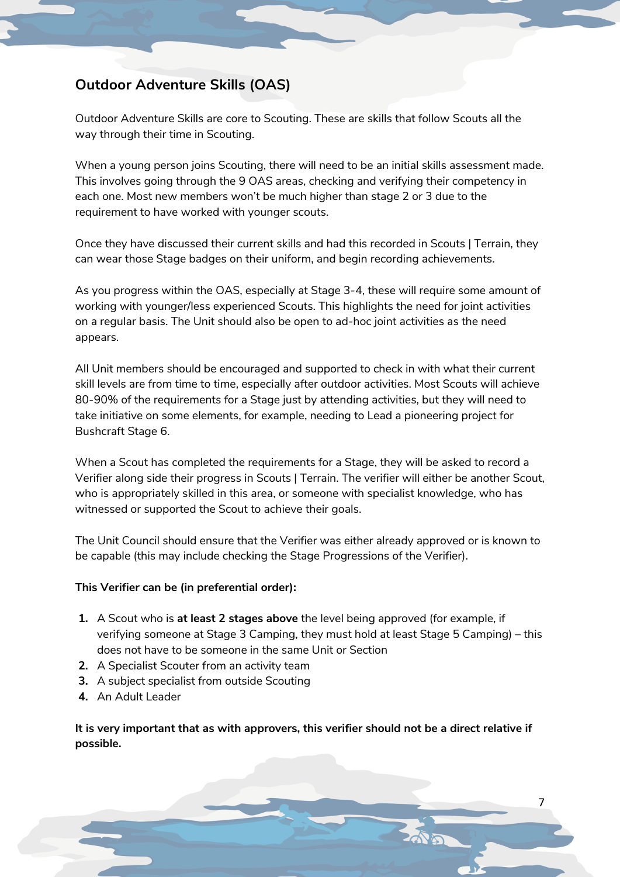### **Outdoor Adventure Skills (OAS)**

Outdoor Adventure Skills are core to Scouting. These are skills that follow Scouts all the way through their time in Scouting.

When a young person joins Scouting, there will need to be an initial skills assessment made. This involves going through the 9 OAS areas, checking and verifying their competency in each one. Most new members won't be much higher than stage 2 or 3 due to the requirement to have worked with younger scouts.

Once they have discussed their current skills and had this recorded in Scouts | Terrain, they can wear those Stage badges on their uniform, and begin recording achievements.

As you progress within the OAS, especially at Stage 3-4, these will require some amount of working with younger/less experienced Scouts. This highlights the need for joint activities on a regular basis. The Unit should also be open to ad-hoc joint activities as the need appears.

All Unit members should be encouraged and supported to check in with what their current skill levels are from time to time, especially after outdoor activities. Most Scouts will achieve 80-90% of the requirements for a Stage just by attending activities, but they will need to take initiative on some elements, for example, needing to Lead a pioneering project for Bushcraft Stage 6.

When a Scout has completed the requirements for a Stage, they will be asked to record a Verifier along side their progress in Scouts | Terrain. The verifier will either be another Scout, who is appropriately skilled in this area, or someone with specialist knowledge, who has witnessed or supported the Scout to achieve their goals.

The Unit Council should ensure that the Verifier was either already approved or is known to be capable (this may include checking the Stage Progressions of the Verifier).

#### **This Verifier can be (in preferential order):**

- **1.** A Scout who is **at least 2 stages above** the level being approved (for example, if verifying someone at Stage 3 Camping, they must hold at least Stage 5 Camping) – this does not have to be someone in the same Unit or Section
- **2.** A Specialist Scouter from an activity team
- **3.** A subject specialist from outside Scouting
- **4.** An Adult Leader

**It is very important that as with approvers, this verifier should not be a direct relative if possible.**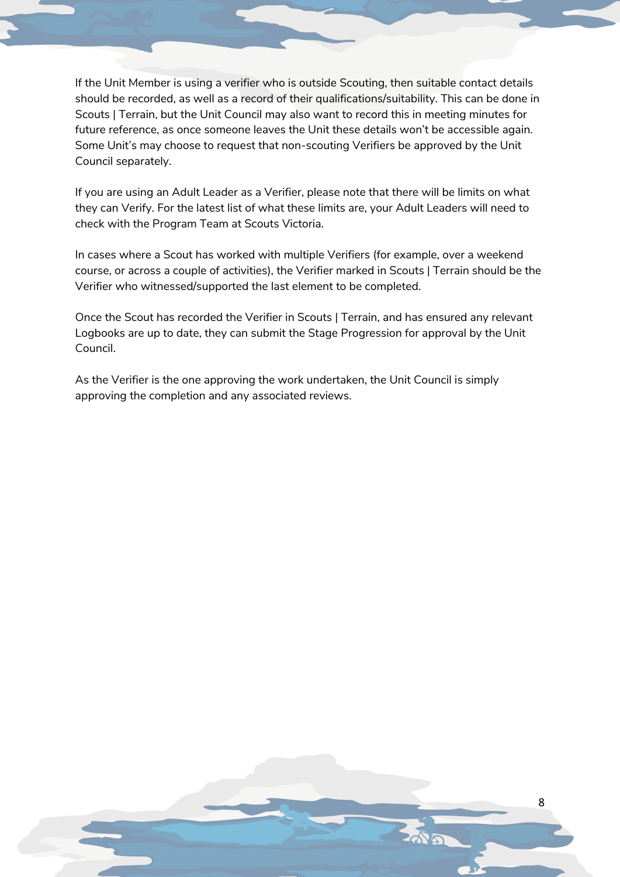If the Unit Member is using a verifier who is outside Scouting, then suitable contact details should be recorded, as well as a record of their qualifications/suitability. This can be done in Scouts | Terrain, but the Unit Council may also want to record this in meeting minutes for future reference, as once someone leaves the Unit these details won't be accessible again. Some Unit's may choose to request that non-scouting Verifiers be approved by the Unit Council separately.

If you are using an Adult Leader as a Verifier, please note that there will be limits on what they can Verify. For the latest list of what these limits are, your Adult Leaders will need to check with the Program Team at Scouts Victoria.

In cases where a Scout has worked with multiple Verifiers (for example, over a weekend course, or across a couple of activities), the Verifier marked in Scouts | Terrain should be the Verifier who witnessed/supported the last element to be completed.

Once the Scout has recorded the Verifier in Scouts | Terrain, and has ensured any relevant Logbooks are up to date, they can submit the Stage Progression for approval by the Unit Council.

8

As the Verifier is the one approving the work undertaken, the Unit Council is simply approving the completion and any associated reviews.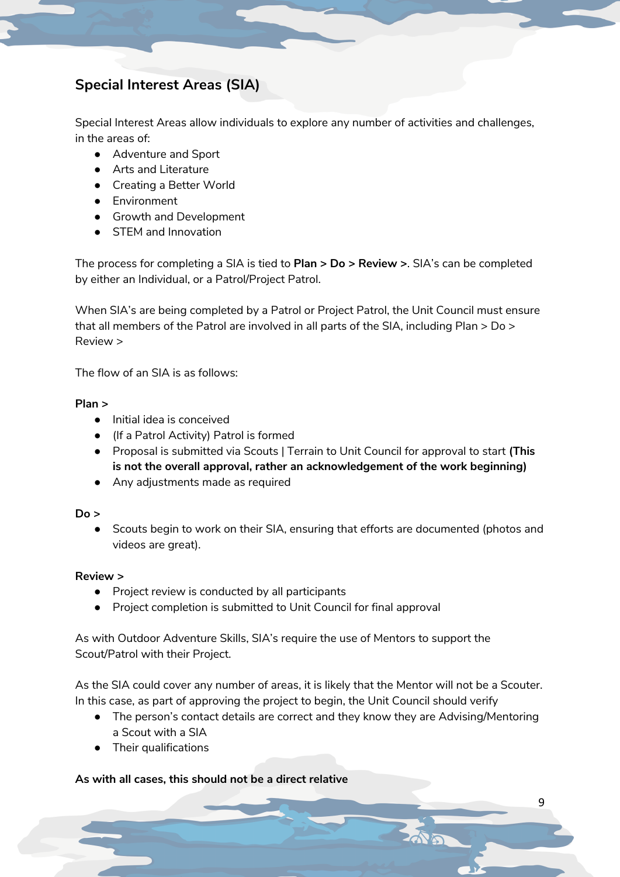## **Special Interest Areas (SIA)**

Special Interest Areas allow individuals to explore any number of activities and challenges, in the areas of:

- Adventure and Sport
- Arts and Literature
- Creating a Better World
- Environment
- Growth and Development
- STEM and Innovation

The process for completing a SIA is tied to **Plan > Do > Review >**. SIA's can be completed by either an Individual, or a Patrol/Project Patrol.

When SIA's are being completed by a Patrol or Project Patrol, the Unit Council must ensure that all members of the Patrol are involved in all parts of the SIA, including Plan > Do > Review >

The flow of an SIA is as follows:

#### **Plan >**

- Initial idea is conceived
- (If a Patrol Activity) Patrol is formed
- Proposal is submitted via Scouts | Terrain to Unit Council for approval to start **(This is not the overall approval, rather an acknowledgement of the work beginning)**
- Any adjustments made as required

#### **Do >**

● Scouts begin to work on their SIA, ensuring that efforts are documented (photos and videos are great).

#### **Review >**

- Project review is conducted by all participants
- Project completion is submitted to Unit Council for final approval

As with Outdoor Adventure Skills, SIA's require the use of Mentors to support the Scout/Patrol with their Project.

As the SIA could cover any number of areas, it is likely that the Mentor will not be a Scouter. In this case, as part of approving the project to begin, the Unit Council should verify

● The person's contact details are correct and they know they are Advising/Mentoring a Scout with a SIA

9

● Their qualifications

#### **As with all cases, this should not be a direct relative**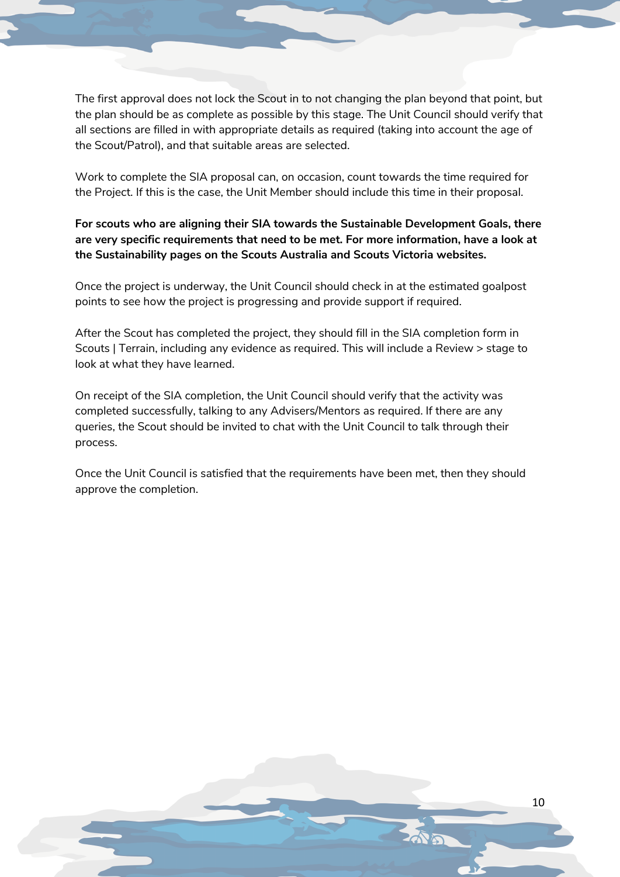The first approval does not lock the Scout in to not changing the plan beyond that point, but the plan should be as complete as possible by this stage. The Unit Council should verify that all sections are filled in with appropriate details as required (taking into account the age of the Scout/Patrol), and that suitable areas are selected.

Work to complete the SIA proposal can, on occasion, count towards the time required for the Project. If this is the case, the Unit Member should include this time in their proposal.

### **For scouts who are aligning their SIA towards the Sustainable Development Goals, there are very specific requirements that need to be met. For more information, have a look at the Sustainability pages on the Scouts Australia and Scouts Victoria websites.**

Once the project is underway, the Unit Council should check in at the estimated goalpost points to see how the project is progressing and provide support if required.

After the Scout has completed the project, they should fill in the SIA completion form in Scouts | Terrain, including any evidence as required. This will include a Review > stage to look at what they have learned.

On receipt of the SIA completion, the Unit Council should verify that the activity was completed successfully, talking to any Advisers/Mentors as required. If there are any queries, the Scout should be invited to chat with the Unit Council to talk through their process.

Once the Unit Council is satisfied that the requirements have been met, then they should approve the completion.